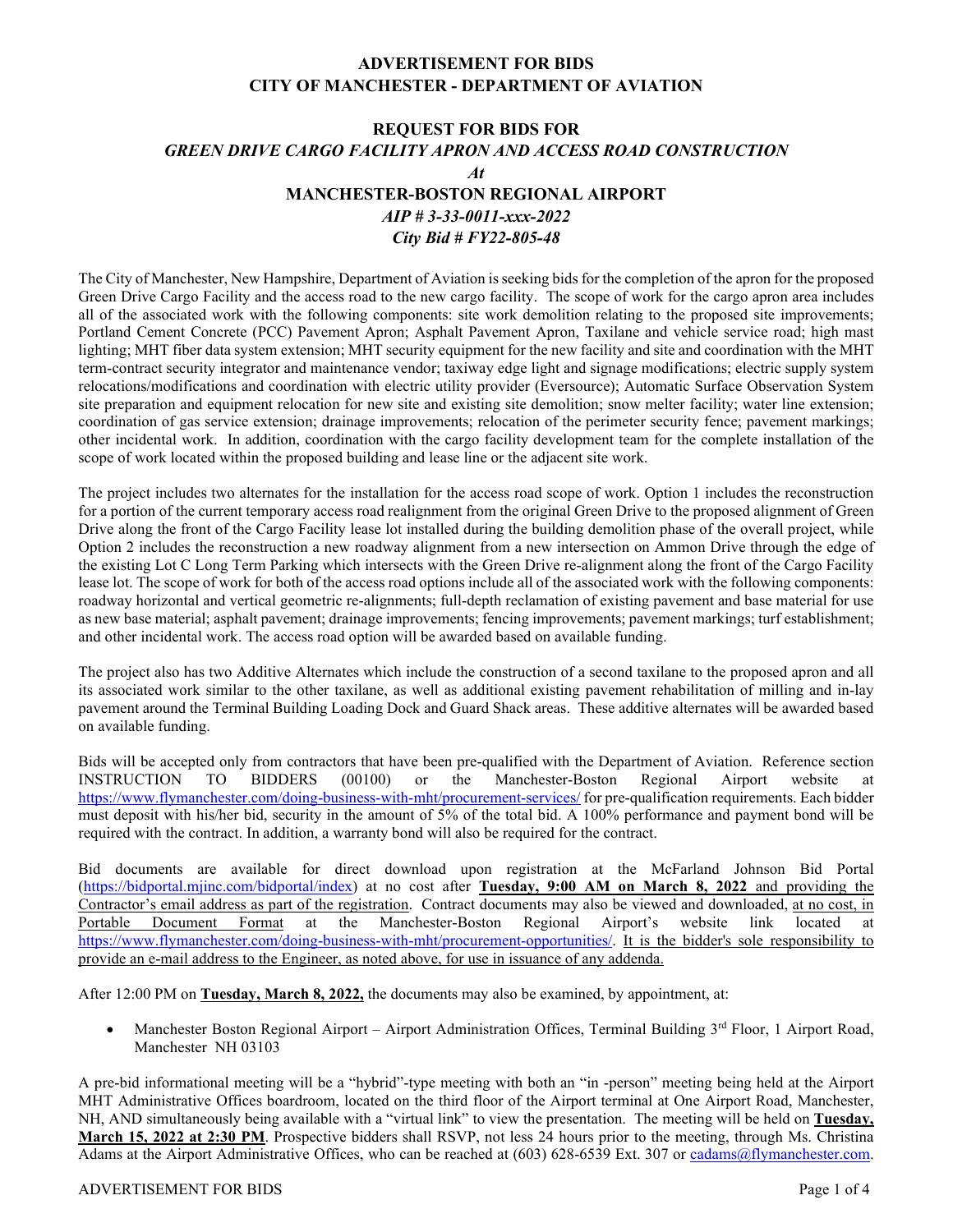## **ADVERTISEMENT FOR BIDS CITY OF MANCHESTER - DEPARTMENT OF AVIATION**

# **REQUEST FOR BIDS FOR** *GREEN DRIVE CARGO FACILITY APRON AND ACCESS ROAD CONSTRUCTION At* **MANCHESTER-BOSTON REGIONAL AIRPORT**  *AIP # 3-33-0011-xxx-2022*

### *City Bid # FY22-805-48*

The City of Manchester, New Hampshire, Department of Aviation is seeking bids for the completion of the apron for the proposed Green Drive Cargo Facility and the access road to the new cargo facility. The scope of work for the cargo apron area includes all of the associated work with the following components: site work demolition relating to the proposed site improvements; Portland Cement Concrete (PCC) Pavement Apron; Asphalt Pavement Apron, Taxilane and vehicle service road; high mast lighting; MHT fiber data system extension; MHT security equipment for the new facility and site and coordination with the MHT term-contract security integrator and maintenance vendor; taxiway edge light and signage modifications; electric supply system relocations/modifications and coordination with electric utility provider (Eversource); Automatic Surface Observation System site preparation and equipment relocation for new site and existing site demolition; snow melter facility; water line extension; coordination of gas service extension; drainage improvements; relocation of the perimeter security fence; pavement markings; other incidental work. In addition, coordination with the cargo facility development team for the complete installation of the scope of work located within the proposed building and lease line or the adjacent site work.

The project includes two alternates for the installation for the access road scope of work. Option 1 includes the reconstruction for a portion of the current temporary access road realignment from the original Green Drive to the proposed alignment of Green Drive along the front of the Cargo Facility lease lot installed during the building demolition phase of the overall project, while Option 2 includes the reconstruction a new roadway alignment from a new intersection on Ammon Drive through the edge of the existing Lot C Long Term Parking which intersects with the Green Drive re-alignment along the front of the Cargo Facility lease lot. The scope of work for both of the access road options include all of the associated work with the following components: roadway horizontal and vertical geometric re-alignments; full-depth reclamation of existing pavement and base material for use as new base material; asphalt pavement; drainage improvements; fencing improvements; pavement markings; turf establishment; and other incidental work. The access road option will be awarded based on available funding.

The project also has two Additive Alternates which include the construction of a second taxilane to the proposed apron and all its associated work similar to the other taxilane, as well as additional existing pavement rehabilitation of milling and in-lay pavement around the Terminal Building Loading Dock and Guard Shack areas. These additive alternates will be awarded based on available funding.

Bids will be accepted only from contractors that have been pre-qualified with the Department of Aviation. Reference section INSTRUCTION TO BIDDERS (00100) or the Manchester-Boston Regional Airport website at <https://www.flymanchester.com/doing-business-with-mht/procurement-services/> for pre-qualification requirements. Each bidder must deposit with his/her bid, security in the amount of  $\frac{5}{\%}$  of the total bid. A 100% performance and payment bond will be required with the contract. In addition, a warranty bond will also be required for the contract.

Bid documents are available for direct download upon registration at the McFarland Johnson Bid Portal [\(https://bidportal.mjinc.com/bidportal/index\)](https://bidportal.mjinc.com/bidportal/index) at no cost after **Tuesday, 9:00 AM on March 8, 2022** and providing the Contractor's email address as part of the registration. Contract documents may also be viewed and downloaded, at no cost, in Portable Document Format at the Manchester-Boston Regional Airport's website link located at [https://www.flymanchester.com/doing-business-with-mht/procurement-opportunities/.](https://www.flymanchester.com/doing-business-with-mht/procurement-opportunities/) It is the bidder's sole responsibility to provide an e-mail address to the Engineer, as noted above, for use in issuance of any addenda.

After 12:00 PM on **Tuesday, March 8, 2022,** the documents may also be examined, by appointment, at:

• Manchester Boston Regional Airport – Airport Administration Offices, Terminal Building 3rd Floor, 1 Airport Road, Manchester NH 03103

A pre-bid informational meeting will be a "hybrid"-type meeting with both an "in -person" meeting being held at the Airport MHT Administrative Offices boardroom, located on the third floor of the Airport terminal at One Airport Road, Manchester, NH, AND simultaneously being available with a "virtual link" to view the presentation. The meeting will be held on **Tuesday, March 15, 2022 at 2:30 PM**. Prospective bidders shall RSVP, not less 24 hours prior to the meeting, through Ms. Christina Adams at the Airport Administrative Offices, who can be reached at (603) 628-6539 Ext. 307 or [cadams@flymanchester.com.](mailto:cadams@flymanchester.com)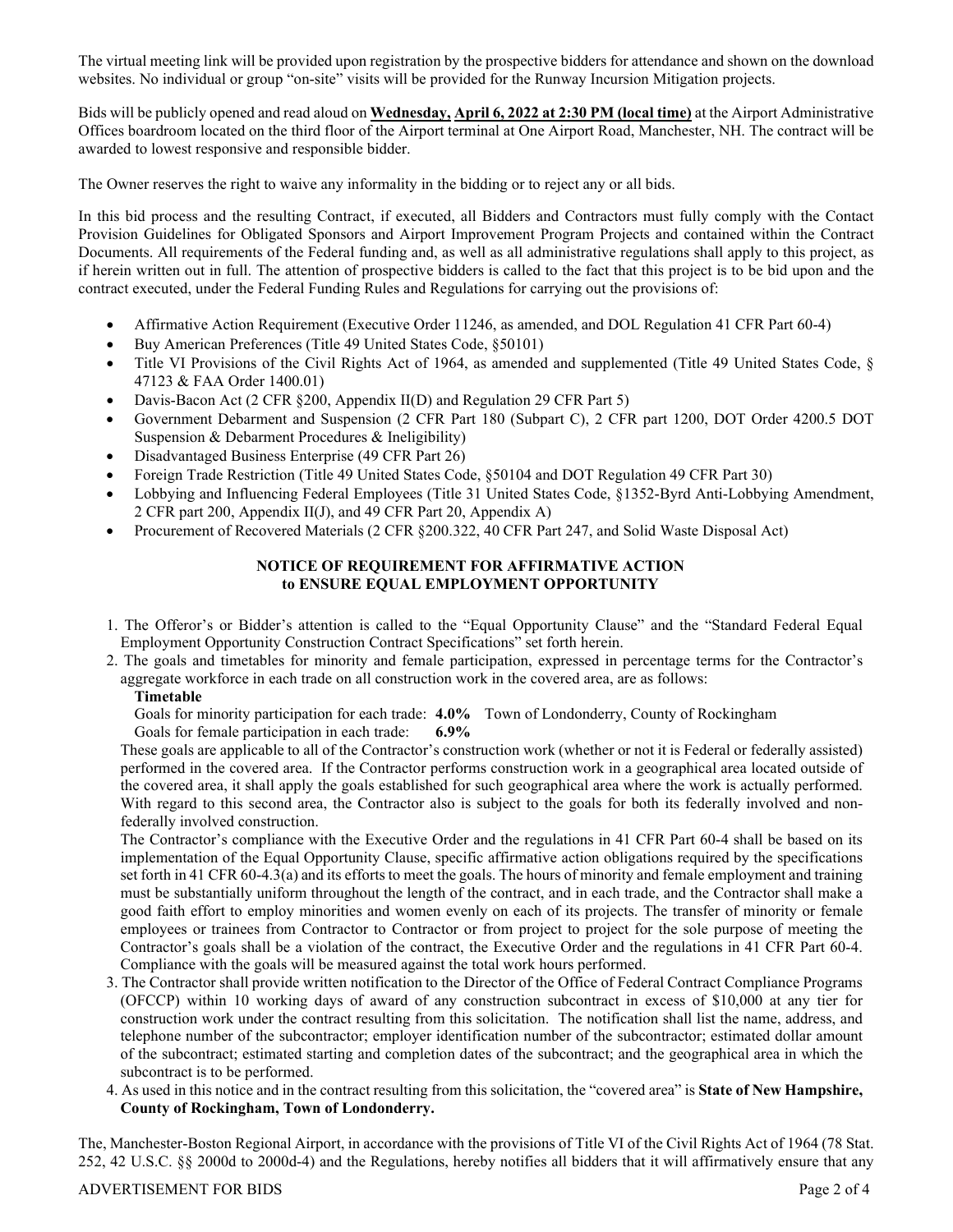The virtual meeting link will be provided upon registration by the prospective bidders for attendance and shown on the download websites. No individual or group "on-site" visits will be provided for the Runway Incursion Mitigation projects.

Bids will be publicly opened and read aloud on **Wednesday, April 6, 2022 at 2:30 PM (local time)** at the Airport Administrative Offices boardroom located on the third floor of the Airport terminal at One Airport Road, Manchester, NH. The contract will be awarded to lowest responsive and responsible bidder.

The Owner reserves the right to waive any informality in the bidding or to reject any or all bids.

In this bid process and the resulting Contract, if executed, all Bidders and Contractors must fully comply with the Contact Provision Guidelines for Obligated Sponsors and Airport Improvement Program Projects and contained within the Contract Documents. All requirements of the Federal funding and, as well as all administrative regulations shall apply to this project, as if herein written out in full. The attention of prospective bidders is called to the fact that this project is to be bid upon and the contract executed, under the Federal Funding Rules and Regulations for carrying out the provisions of:

- Affirmative Action Requirement (Executive Order 11246, as amended, and DOL Regulation 41 CFR Part 60-4)
- Buy American Preferences (Title 49 United States Code, §50101)
- Title VI Provisions of the Civil Rights Act of 1964, as amended and supplemented (Title 49 United States Code, § 47123 & FAA Order 1400.01)
- Davis-Bacon Act (2 CFR §200, Appendix II(D) and Regulation 29 CFR Part 5)
- Government Debarment and Suspension (2 CFR Part 180 (Subpart C), 2 CFR part 1200, DOT Order 4200.5 DOT Suspension & Debarment Procedures & Ineligibility)
- Disadvantaged Business Enterprise (49 CFR Part 26)
- Foreign Trade Restriction (Title 49 United States Code, §50104 and DOT Regulation 49 CFR Part 30)
- Lobbying and Influencing Federal Employees (Title 31 United States Code, §1352-Byrd Anti-Lobbying Amendment, 2 CFR part 200, Appendix II(J), and 49 CFR Part 20, Appendix A)
- Procurement of Recovered Materials (2 CFR §200.322, 40 CFR Part 247, and Solid Waste Disposal Act)

#### **NOTICE OF REQUIREMENT FOR AFFIRMATIVE ACTION to ENSURE EQUAL EMPLOYMENT OPPORTUNITY**

- 1. The Offeror's or Bidder's attention is called to the "Equal Opportunity Clause" and the "Standard Federal Equal Employment Opportunity Construction Contract Specifications" set forth herein.
- 2. The goals and timetables for minority and female participation, expressed in percentage terms for the Contractor's aggregate workforce in each trade on all construction work in the covered area, are as follows:

#### **Timetable**

Goals for minority participation for each trade: **4.0%** Town of Londonderry, County of Rockingham

Goals for female participation in each trade: **6.9%**

These goals are applicable to all of the Contractor's construction work (whether or not it is Federal or federally assisted) performed in the covered area. If the Contractor performs construction work in a geographical area located outside of the covered area, it shall apply the goals established for such geographical area where the work is actually performed. With regard to this second area, the Contractor also is subject to the goals for both its federally involved and nonfederally involved construction.

The Contractor's compliance with the Executive Order and the regulations in 41 CFR Part 60-4 shall be based on its implementation of the Equal Opportunity Clause, specific affirmative action obligations required by the specifications set forth in 41 CFR 60-4.3(a) and its efforts to meet the goals. The hours of minority and female employment and training must be substantially uniform throughout the length of the contract, and in each trade, and the Contractor shall make a good faith effort to employ minorities and women evenly on each of its projects. The transfer of minority or female employees or trainees from Contractor to Contractor or from project to project for the sole purpose of meeting the Contractor's goals shall be a violation of the contract, the Executive Order and the regulations in 41 CFR Part 60-4. Compliance with the goals will be measured against the total work hours performed.

- 3. The Contractor shall provide written notification to the Director of the Office of Federal Contract Compliance Programs (OFCCP) within 10 working days of award of any construction subcontract in excess of \$10,000 at any tier for construction work under the contract resulting from this solicitation. The notification shall list the name, address, and telephone number of the subcontractor; employer identification number of the subcontractor; estimated dollar amount of the subcontract; estimated starting and completion dates of the subcontract; and the geographical area in which the subcontract is to be performed.
- 4. As used in this notice and in the contract resulting from this solicitation, the "covered area" is **State of New Hampshire, County of Rockingham, Town of Londonderry.**

The, Manchester-Boston Regional Airport, in accordance with the provisions of Title VI of the Civil Rights Act of 1964 (78 Stat. 252, 42 U.S.C. §§ 2000d to 2000d-4) and the Regulations, hereby notifies all bidders that it will affirmatively ensure that any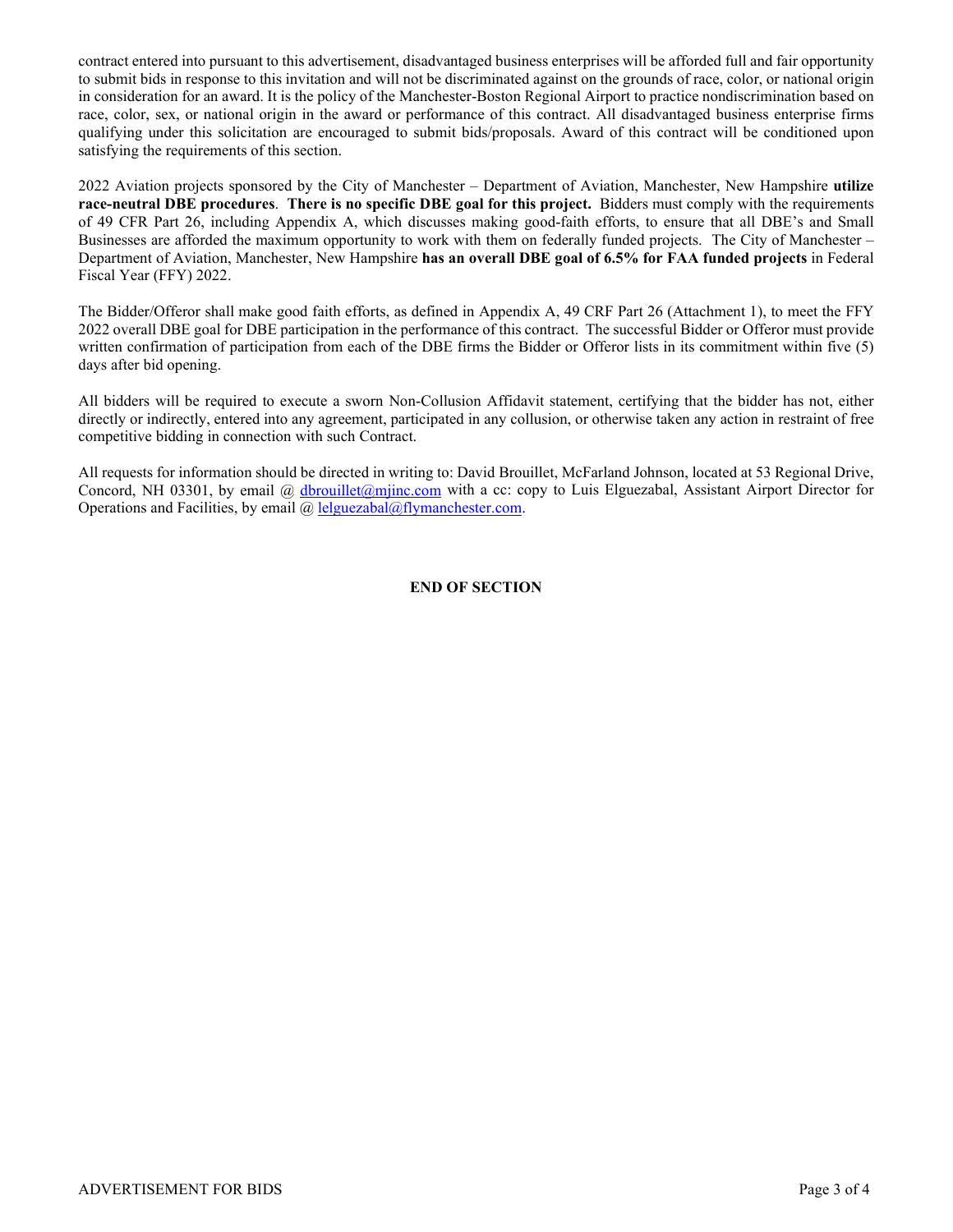contract entered into pursuant to this advertisement, disadvantaged business enterprises will be afforded full and fair opportunity to submit bids in response to this invitation and will not be discriminated against on the grounds of race, color, or national origin in consideration for an award. It is the policy of the Manchester-Boston Regional Airport to practice nondiscrimination based on race, color, sex, or national origin in the award or performance of this contract. All disadvantaged business enterprise firms qualifying under this solicitation are encouraged to submit bids/proposals. Award of this contract will be conditioned upon satisfying the requirements of this section.

2022 Aviation projects sponsored by the City of Manchester – Department of Aviation, Manchester, New Hampshire **utilize race-neutral DBE procedures**. **There is no specific DBE goal for this project.** Bidders must comply with the requirements of 49 CFR Part 26, including Appendix A, which discusses making good-faith efforts, to ensure that all DBE's and Small Businesses are afforded the maximum opportunity to work with them on federally funded projects. The City of Manchester – Department of Aviation, Manchester, New Hampshire **has an overall DBE goal of 6.5% for FAA funded projects** in Federal Fiscal Year (FFY) 2022.

The Bidder/Offeror shall make good faith efforts, as defined in Appendix A, 49 CRF Part 26 (Attachment 1), to meet the FFY 2022 overall DBE goal for DBE participation in the performance of this contract. The successful Bidder or Offeror must provide written confirmation of participation from each of the DBE firms the Bidder or Offeror lists in its commitment within five (5) days after bid opening.

All bidders will be required to execute a sworn Non-Collusion Affidavit statement, certifying that the bidder has not, either directly or indirectly, entered into any agreement, participated in any collusion, or otherwise taken any action in restraint of free competitive bidding in connection with such Contract.

All requests for information should be directed in writing to: David Brouillet, McFarland Johnson, located at 53 Regional Drive, Concord, NH 03301, by email @ [dbrouillet@mjinc.com](mailto:dbrouillet@mjinc.com) with a cc: copy to Luis Elguezabal, Assistant Airport Director for Operations and Facilities, by email @ [lelguezabal@flymanchester.com.](mailto:lelguezabal@flymanchester.com)

#### **END OF SECTION**